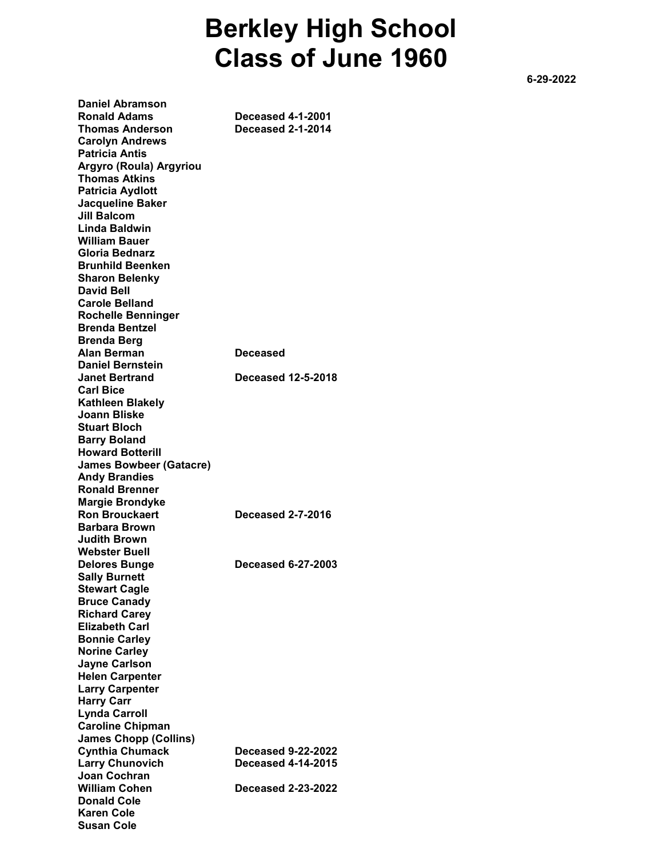## Berkley High School Class of June 1960

 $-6-29-2022$ 

Daniel Abramson Ronald Adams Deceased 4-1-2001 Thomas Anderson Deceased 2-1-2014 Carolyn Andrews Patricia Antis Argyro (Roula) Argyriou Thomas Atkins Patricia Aydlott Jacqueline Baker Jill Balcom Linda Baldwin William Bauer Gloria Bednarz Brunhild Beenken Sharon Belenky David Bell Carole Belland Rochelle Benninger Brenda Bentzel Brenda Berg Alan Berman Deceased Daniel Bernstein Janet Bertrand Deceased 12-5-2018 Carl Bice Kathleen Blakely Joann Bliske Stuart Bloch Barry Boland Howard Botterill James Bowbeer (Gatacre) Andy Brandies Ronald Brenner Margie Brondyke Ron Brouckaert Deceased 2-7-2016 Barbara Brown Judith Brown Webster Buell Delores Bunge Deceased 6-27-2003 Sally Burnett Stewart Cagle Bruce Canady Richard Carey Elizabeth Carl Bonnie Carley Norine Carley Jayne Carlson Helen Carpenter Larry Carpenter Harry Carr Lynda Carroll Caroline Chipman James Chopp (Collins) Cynthia Chumack Deceased 9-22-2022 Larry Chunovich Deceased 4-14-2015 Joan Cochran William Cohen Deceased 2-23-2022 Donald Cole Karen Cole Susan Cole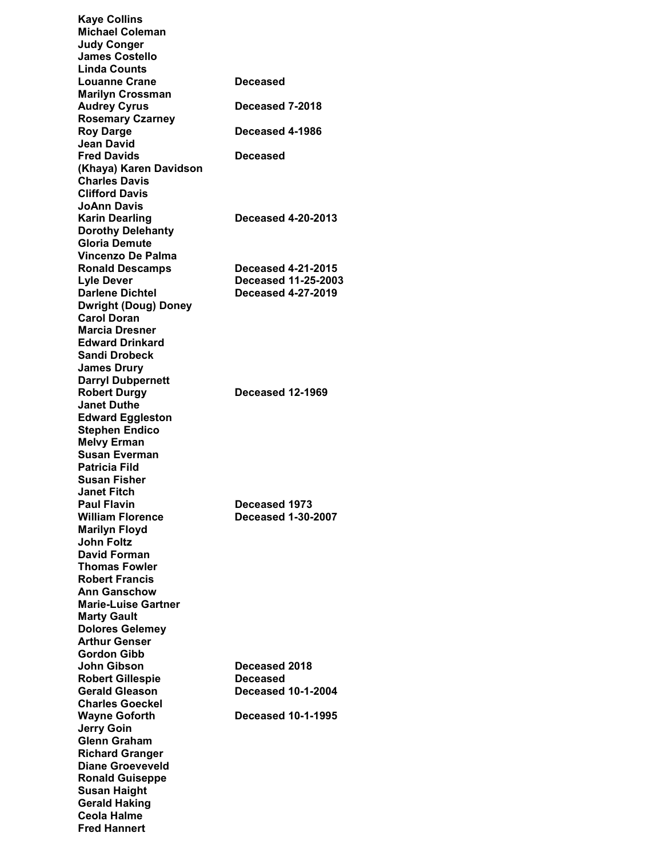| <b>Kaye Collins</b>         |                            |
|-----------------------------|----------------------------|
| <b>Michael Coleman</b>      |                            |
|                             |                            |
| <b>Judy Conger</b>          |                            |
| <b>James Costello</b>       |                            |
| <b>Linda Counts</b>         |                            |
| <b>Louanne Crane</b>        | Deceased                   |
| <b>Marilyn Crossman</b>     |                            |
| <b>Audrey Cyrus</b>         | Deceased 7-2018            |
| <b>Rosemary Czarney</b>     |                            |
|                             |                            |
| <b>Roy Darge</b>            | Deceased 4-1986            |
| Jean David                  |                            |
| <b>Fred Davids</b>          | Deceased                   |
| (Khaya) Karen Davidson      |                            |
| <b>Charles Davis</b>        |                            |
| <b>Clifford Davis</b>       |                            |
| JoAnn Davis                 |                            |
|                             |                            |
| <b>Karin Dearling</b>       | <b>Deceased 4-20-2013</b>  |
| <b>Dorothy Delehanty</b>    |                            |
| <b>Gloria Demute</b>        |                            |
| Vincenzo De Palma           |                            |
| <b>Ronald Descamps</b>      | <b>Deceased 4-21-2015</b>  |
| Lyle Dever                  | <b>Deceased 11-25-2003</b> |
|                             |                            |
| <b>Darlene Dichtel</b>      | <b>Deceased 4-27-2019</b>  |
| <b>Dwright (Doug) Doney</b> |                            |
| <b>Carol Doran</b>          |                            |
| Marcia Dresner              |                            |
| <b>Edward Drinkard</b>      |                            |
| Sandi Drobeck               |                            |
|                             |                            |
| <b>James Drury</b>          |                            |
| <b>Darryl Dubpernett</b>    |                            |
| <b>Robert Durgy</b>         | Deceased 12-1969           |
| <b>Janet Duthe</b>          |                            |
| <b>Edward Eggleston</b>     |                            |
| <b>Stephen Endico</b>       |                            |
| <b>Melvy Erman</b>          |                            |
| <b>Susan Everman</b>        |                            |
|                             |                            |
| Patricia Fild               |                            |
| Susan Fisher                |                            |
| <b>Janet Fitch</b>          |                            |
| <b>Paul Flavin</b>          | Deceased 1973              |
| <b>William Florence</b>     | <b>Deceased 1-30-2007</b>  |
| <b>Marilyn Floyd</b>        |                            |
|                             |                            |
| <b>John Foltz</b>           |                            |
| <b>David Forman</b>         |                            |
| <b>Thomas Fowler</b>        |                            |
| <b>Robert Francis</b>       |                            |
| Ann Ganschow                |                            |
| <b>Marie-Luise Gartner</b>  |                            |
|                             |                            |
| <b>Marty Gault</b>          |                            |
| <b>Dolores Gelemey</b>      |                            |
| <b>Arthur Genser</b>        |                            |
| <b>Gordon Gibb</b>          |                            |
| John Gibson                 | <b>Deceased 2018</b>       |
| <b>Robert Gillespie</b>     | Deceased                   |
| <b>Gerald Gleason</b>       | <b>Deceased 10-1-2004</b>  |
| <b>Charles Goeckel</b>      |                            |
|                             |                            |
| <b>Wayne Goforth</b>        | <b>Deceased 10-1-1995</b>  |
| <b>Jerry Goin</b>           |                            |
| Glenn Graham                |                            |
| <b>Richard Granger</b>      |                            |
| <b>Diane Groeveveld</b>     |                            |
| <b>Ronald Guiseppe</b>      |                            |
|                             |                            |
| Susan Haight                |                            |
| <b>Gerald Haking</b>        |                            |
| Ceola Halme                 |                            |
| <b>Fred Hannert</b>         |                            |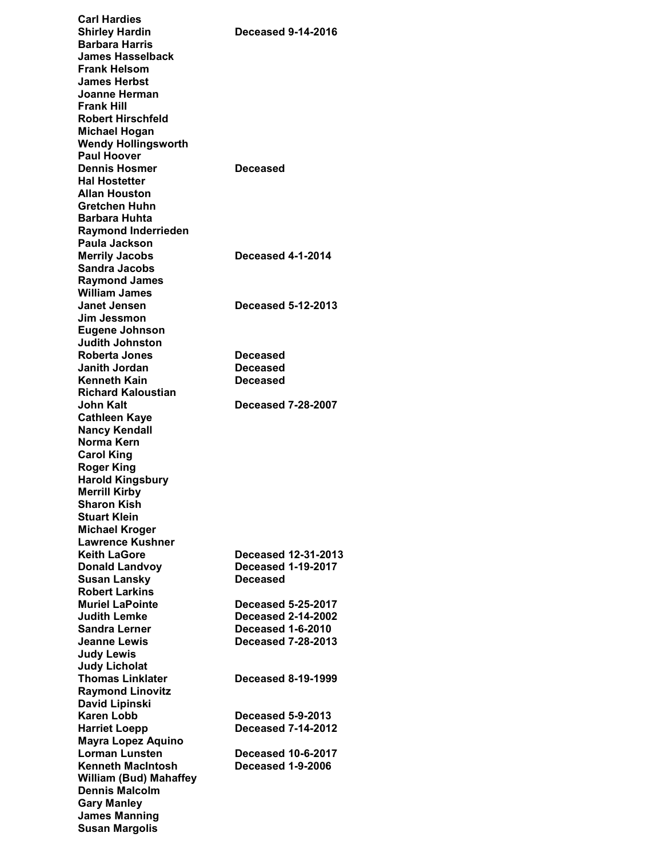| <b>Carl Hardies</b>           |                            |
|-------------------------------|----------------------------|
| <b>Shirley Hardin</b>         | <b>Deceased 9-14-2016</b>  |
| <b>Barbara Harris</b>         |                            |
| James Hasselback              |                            |
| <b>Frank Helsom</b>           |                            |
| <b>James Herbst</b>           |                            |
|                               |                            |
| Joanne Herman                 |                            |
| <b>Frank Hill</b>             |                            |
| <b>Robert Hirschfeld</b>      |                            |
| <b>Michael Hogan</b>          |                            |
| <b>Wendy Hollingsworth</b>    |                            |
| <b>Paul Hoover</b>            |                            |
| <b>Dennis Hosmer</b>          |                            |
|                               | Deceased                   |
| <b>Hal Hostetter</b>          |                            |
| <b>Allan Houston</b>          |                            |
| Gretchen Huhn                 |                            |
| Barbara Huhta                 |                            |
| <b>Raymond Inderrieden</b>    |                            |
| Paula Jackson                 |                            |
| <b>Merrily Jacobs</b>         | <b>Deceased 4-1-2014</b>   |
| <b>Sandra Jacobs</b>          |                            |
|                               |                            |
| <b>Raymond James</b>          |                            |
| <b>William James</b>          |                            |
| Janet Jensen                  | Deceased 5-12-2013         |
| Jim Jessmon                   |                            |
| <b>Eugene Johnson</b>         |                            |
| <b>Judith Johnston</b>        |                            |
| <b>Roberta Jones</b>          | <b>Deceased</b>            |
|                               |                            |
| Janith Jordan                 | Deceased                   |
| Kenneth Kain                  | Deceased                   |
| <b>Richard Kaloustian</b>     |                            |
| <b>John Kalt</b>              | <b>Deceased 7-28-2007</b>  |
| <b>Cathleen Kaye</b>          |                            |
| <b>Nancy Kendall</b>          |                            |
| Norma Kern                    |                            |
| <b>Carol King</b>             |                            |
|                               |                            |
| <b>Roger King</b>             |                            |
| <b>Harold Kingsbury</b>       |                            |
| <b>Merrill Kirby</b>          |                            |
| Sharon Kish                   |                            |
| Stuart Klein                  |                            |
| Michael Kroger                |                            |
| <b>Lawrence Kushner</b>       |                            |
| Keith LaGore                  | <b>Deceased 12-31-2013</b> |
|                               |                            |
|                               |                            |
| <b>Donald Landvoy</b>         | <b>Deceased 1-19-2017</b>  |
| <b>Susan Lansky</b>           | Deceased                   |
| <b>Robert Larkins</b>         |                            |
| <b>Muriel LaPointe</b>        | <b>Deceased 5-25-2017</b>  |
| <b>Judith Lemke</b>           | <b>Deceased 2-14-2002</b>  |
|                               |                            |
| <b>Sandra Lerner</b>          | <b>Deceased 1-6-2010</b>   |
| Jeanne Lewis                  | <b>Deceased 7-28-2013</b>  |
| <b>Judy Lewis</b>             |                            |
| <b>Judy Licholat</b>          |                            |
| <b>Thomas Linklater</b>       | <b>Deceased 8-19-1999</b>  |
| <b>Raymond Linovitz</b>       |                            |
| David Lipinski                |                            |
| Karen Lobb                    | <b>Deceased 5-9-2013</b>   |
|                               | <b>Deceased 7-14-2012</b>  |
| <b>Harriet Loepp</b>          |                            |
| <b>Mayra Lopez Aquino</b>     |                            |
| <b>Lorman Lunsten</b>         | <b>Deceased 10-6-2017</b>  |
| <b>Kenneth MacIntosh</b>      | <b>Deceased 1-9-2006</b>   |
| <b>William (Bud) Mahaffey</b> |                            |
| <b>Dennis Malcolm</b>         |                            |
| <b>Gary Manley</b>            |                            |
| <b>James Manning</b>          |                            |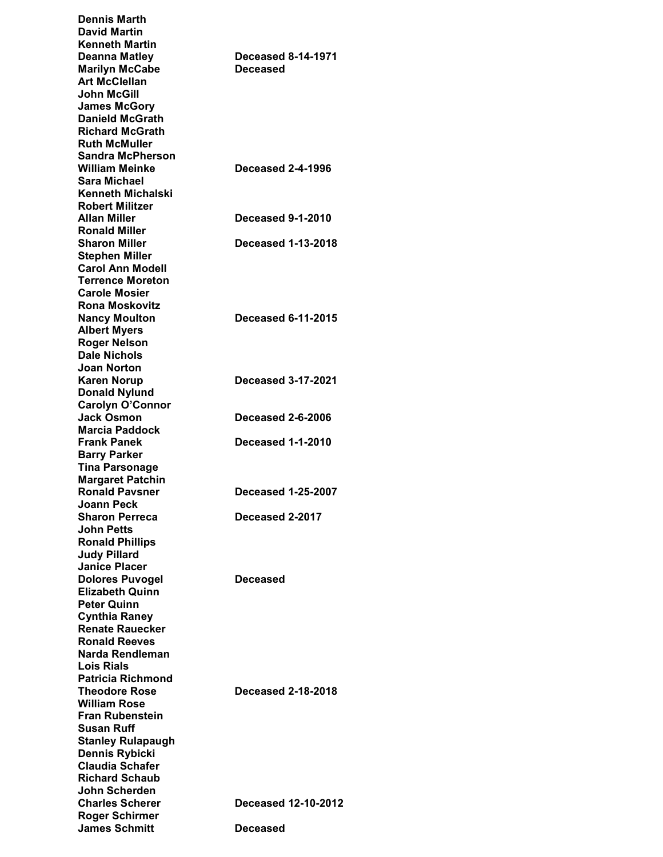| <b>Dennis Marth</b><br><b>David Martin</b><br>Kenneth Martin                                  |                                       |
|-----------------------------------------------------------------------------------------------|---------------------------------------|
| Deanna Matley<br><b>Marilyn McCabe</b><br><b>Art McClellan</b>                                | <b>Deceased 8-14-1971</b><br>Deceased |
| <b>John McGill</b><br><b>James McGory</b><br><b>Danield McGrath</b><br><b>Richard McGrath</b> |                                       |
| <b>Ruth McMuller</b><br><b>Sandra McPherson</b>                                               |                                       |
| <b>William Meinke</b><br>Sara Michael                                                         | <b>Deceased 2-4-1996</b>              |
| Kenneth Michalski<br><b>Robert Militzer</b>                                                   |                                       |
| Allan Miller<br><b>Ronald Miller</b>                                                          | <b>Deceased 9-1-2010</b>              |
| <b>Sharon Miller</b><br><b>Stephen Miller</b>                                                 | <b>Deceased 1-13-2018</b>             |
| <b>Carol Ann Modell</b><br><b>Terrence Moreton</b>                                            |                                       |
| <b>Carole Mosier</b><br><b>Rona Moskovitz</b>                                                 |                                       |
| <b>Nancy Moulton</b>                                                                          | <b>Deceased 6-11-2015</b>             |
| <b>Albert Myers</b><br><b>Roger Nelson</b><br><b>Dale Nichols</b>                             |                                       |
| <b>Joan Norton</b><br><b>Karen Norup</b>                                                      | <b>Deceased 3-17-2021</b>             |
| <b>Donald Nylund</b><br><b>Carolyn O'Connor</b>                                               |                                       |
| <b>Jack Osmon</b><br><b>Marcia Paddock</b>                                                    | <b>Deceased 2-6-2006</b>              |
| <b>Frank Panek</b><br><b>Barry Parker</b>                                                     | <b>Deceased 1-1-2010</b>              |
| <b>Tina Parsonage</b><br><b>Margaret Patchin</b>                                              |                                       |
| <b>Ronald Pavsner</b>                                                                         | <b>Deceased 1-25-2007</b>             |
| <b>Joann Peck</b><br><b>Sharon Perreca</b>                                                    | Deceased 2-2017                       |
| John Petts<br><b>Ronald Phillips</b>                                                          |                                       |
| <b>Judy Pillard</b><br><b>Janice Placer</b>                                                   |                                       |
| <b>Dolores Puvogel</b><br><b>Elizabeth Quinn</b>                                              | Deceased                              |
| <b>Peter Quinn</b>                                                                            |                                       |
| <b>Cynthia Raney</b><br><b>Renate Rauecker</b>                                                |                                       |
| <b>Ronald Reeves</b><br>Narda Rendleman                                                       |                                       |
| Lois Rials<br><b>Patricia Richmond</b>                                                        |                                       |
| Theodore Rose<br><b>William Rose</b>                                                          | <b>Deceased 2-18-2018</b>             |
| Fran Rubenstein                                                                               |                                       |
| <b>Susan Ruff</b><br><b>Stanley Rulapaugh</b>                                                 |                                       |
| <b>Dennis Rybicki</b><br><b>Claudia Schafer</b>                                               |                                       |
| <b>Richard Schaub</b><br>John Scherden                                                        |                                       |
| <b>Charles Scherer</b>                                                                        | Deceased 12-10-2012                   |
| <b>Roger Schirmer</b><br><b>James Schmitt</b>                                                 | Deceased                              |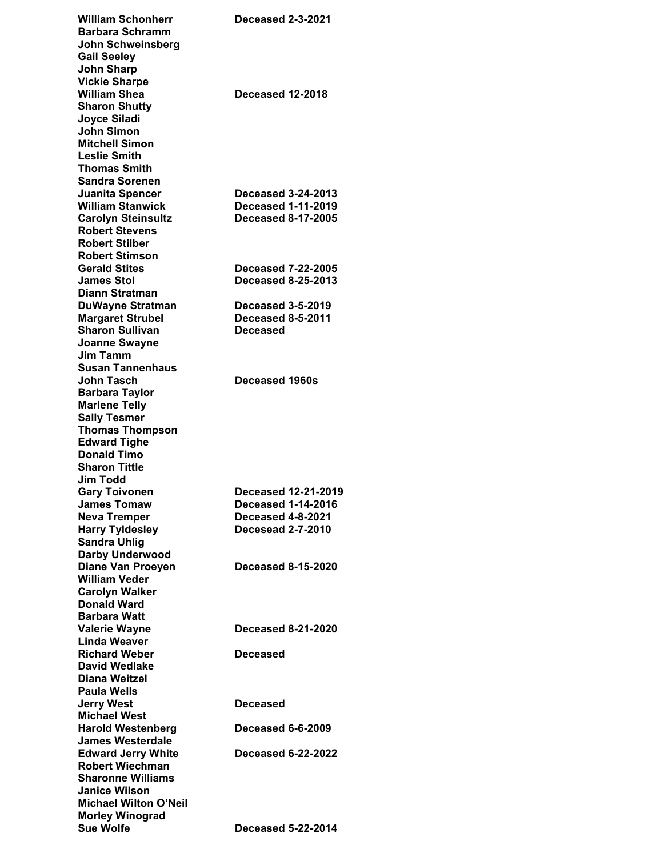| <b>William Schonherr</b>                           | Deceased 2-3-2021         |
|----------------------------------------------------|---------------------------|
| <b>Barbara Schramm</b>                             |                           |
| John Schweinsberg                                  |                           |
| <b>Gail Seeley</b>                                 |                           |
| <b>John Sharp</b>                                  |                           |
| <b>Vickie Sharpe</b>                               |                           |
| <b>William Shea</b>                                | Deceased 12-2018          |
| <b>Sharon Shutty</b>                               |                           |
| Joyce Siladi                                       |                           |
| <b>John Simon</b>                                  |                           |
| <b>Mitchell Simon</b>                              |                           |
| <b>Leslie Smith</b>                                |                           |
| <b>Thomas Smith</b>                                |                           |
| <b>Sandra Sorenen</b>                              |                           |
| Juanita Spencer                                    | <b>Deceased 3-24-2013</b> |
| <b>William Stanwick</b>                            | <b>Deceased 1-11-2019</b> |
| <b>Carolyn Steinsultz</b>                          | <b>Deceased 8-17-2005</b> |
| <b>Robert Stevens</b>                              |                           |
| <b>Robert Stilber</b>                              |                           |
| <b>Robert Stimson</b>                              | <b>Deceased 7-22-2005</b> |
| <b>Gerald Stites</b><br><b>James Stol</b>          | <b>Deceased 8-25-2013</b> |
| <b>Diann Stratman</b>                              |                           |
|                                                    | <b>Deceased 3-5-2019</b>  |
| <b>DuWayne Stratman</b><br><b>Margaret Strubel</b> | <b>Deceased 8-5-2011</b>  |
| <b>Sharon Sullivan</b>                             | <b>Deceased</b>           |
| <b>Joanne Swayne</b>                               |                           |
| <b>Jim Tamm</b>                                    |                           |
| Susan Tannenhaus                                   |                           |
| John Tasch                                         | <b>Deceased 1960s</b>     |
| <b>Barbara Taylor</b>                              |                           |
| <b>Marlene Telly</b>                               |                           |
| <b>Sally Tesmer</b>                                |                           |
| <b>Thomas Thompson</b>                             |                           |
| <b>Edward Tighe</b>                                |                           |
| <b>Donald Timo</b>                                 |                           |
| <b>Sharon Tittle</b>                               |                           |
| <b>Jim Todd</b>                                    |                           |
| <b>Gary Toivonen</b>                               | Deceased 12-21-2019       |
| <b>James Tomaw</b>                                 | <b>Deceased 1-14-2016</b> |
| <b>Neva Tremper</b>                                | Deceased 4-8-2021         |
|                                                    |                           |
| <b>Harry Tyldesley</b>                             | <b>Decesead 2-7-2010</b>  |
| <b>Sandra Uhlig</b>                                |                           |
| Darby Underwood                                    |                           |
| <b>Diane Van Proeyen</b>                           | <b>Deceased 8-15-2020</b> |
| <b>William Veder</b>                               |                           |
| <b>Carolyn Walker</b>                              |                           |
| <b>Donald Ward</b>                                 |                           |
| <b>Barbara Watt</b>                                |                           |
| <b>Valerie Wayne</b>                               | <b>Deceased 8-21-2020</b> |
| Linda Weaver                                       |                           |
| <b>Richard Weber</b>                               | Deceased                  |
| <b>David Wedlake</b>                               |                           |
| Diana Weitzel                                      |                           |
| Paula Wells                                        |                           |
| <b>Jerry West</b>                                  | Deceased                  |
| <b>Michael West</b>                                |                           |
| <b>Harold Westenberg</b>                           | <b>Deceased 6-6-2009</b>  |
| <b>James Westerdale</b>                            |                           |
| <b>Edward Jerry White</b>                          | <b>Deceased 6-22-2022</b> |
| <b>Robert Wiechman</b>                             |                           |
| <b>Sharonne Williams</b><br><b>Janice Wilson</b>   |                           |
| <b>Michael Wilton O'Neil</b>                       |                           |
| <b>Morley Winograd</b>                             |                           |